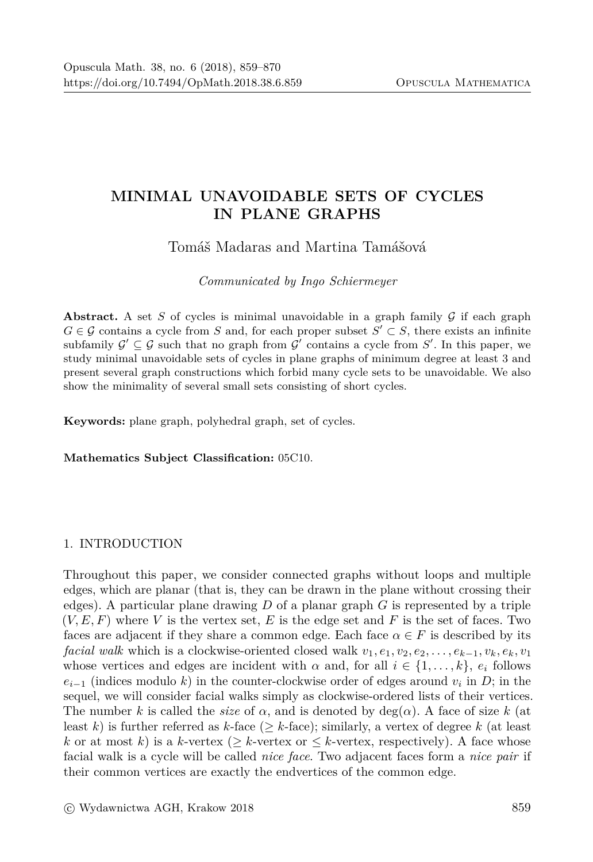# MINIMAL UNAVOIDABLE SETS OF CYCLES **IN PLANE GRAPHS**

## Tomáš Madaras and Martina Tamášová

Communicated by Ingo Schiermeyer

**Abstract.** A set S of cycles is minimal unavoidable in a graph family  $\mathcal G$  if each graph  $G \in \mathcal{G}$  contains a cycle from S and, for each proper subset  $S' \subset S$ , there exists an infinite subfamily  $\mathcal{G}' \subseteq \mathcal{G}$  such that no graph from  $\mathcal{G}'$  contains a cycle from S'. In this paper, we study minimal unavoidable sets of cycles in plane graphs of minimum degree at least 3 and present several graph constructions which forbid many cycle sets to be unavoidable. We also show the minimality of several small sets consisting of short cycles.

Keywords: plane graph, polyhedral graph, set of cycles.

Mathematics Subject Classification: 05C10.

### 1. INTRODUCTION

Throughout this paper, we consider connected graphs without loops and multiple edges, which are planar (that is, they can be drawn in the plane without crossing their edges). A particular plane drawing D of a planar graph G is represented by a triple  $(V, E, F)$  where V is the vertex set, E is the edge set and F is the set of faces. Two faces are adjacent if they share a common edge. Each face  $\alpha \in F$  is described by its *facial walk* which is a clockwise-oriented closed walk  $v_1, e_1, v_2, e_2, \ldots, e_{k-1}, v_k, e_k, v_1$ whose vertices and edges are incident with  $\alpha$  and, for all  $i \in \{1, ..., k\}$ ,  $e_i$  follows  $e_{i-1}$  (indices modulo k) in the counter-clockwise order of edges around  $v_i$  in D; in the sequel, we will consider facial walks simply as clockwise-ordered lists of their vertices. The number k is called the *size* of  $\alpha$ , and is denoted by deg( $\alpha$ ). A face of size k (at least k) is further referred as k-face ( $\geq k$ -face); similarly, a vertex of degree k (at least k or at most k is a k-vertex ( $\geq$  k-vertex or  $\leq$  k-vertex, respectively). A face whose facial walk is a cycle will be called *nice face*. Two adjacent faces form a *nice pair* if their common vertices are exactly the endvertices of the common edge.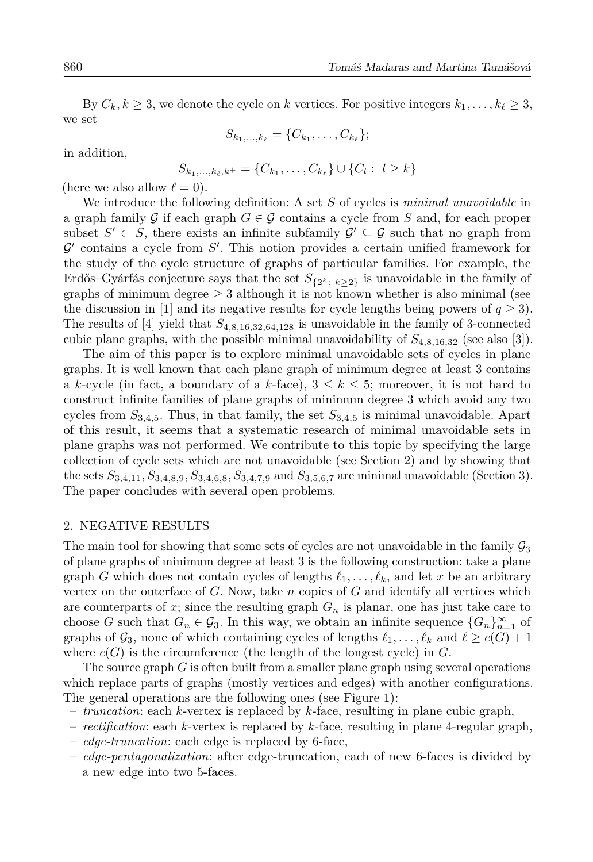By  $C_k, k \geq 3$ , we denote the cycle on k vertices. For positive integers  $k_1, \ldots, k_\ell \geq 3$ , we set

$$
S_{k_1,...,k_\ell} = \{C_{k_1}, \ldots, C_{k_\ell}\};
$$

in addition,

$$
S_{k_1,\ldots,k_\ell,k^+} = \{C_{k_1},\ldots,C_{k_\ell}\} \cup \{C_l: \ l \geq k\}
$$

(here we also allow  $\ell = 0$ ).

We introduce the following definition: A set  $S$  of cycles is *minimal unavoidable* in a graph family G if each graph  $G \in \mathcal{G}$  contains a cycle from S and, for each proper subset  $S' \subset S$ , there exists an infinite subfamily  $\mathcal{G}' \subseteq \mathcal{G}$  such that no graph from  $\mathcal{G}'$  contains a cycle from  $\mathcal{S}'$ . This notion provides a certain unified framework for the study of the cycle structure of graphs of particular families. For example, the Erdős–Gyárfás conjecture says that the set  $S_{\{2^k : k \geq 2\}}$  is unavoidable in the family of graphs of minimum degree  $\geq 3$  although it is not known whether is also minimal (see the discussion in [1] and its negative results for cycle lengths being powers of  $q \ge 3$ ). The results of [4] yield that  $S_{4,8,16,32,64,128}$  is unavoidable in the family of 3-connected cubic plane graphs, with the possible minimal unavoidability of  $S_{4,8,16,32}$  (see also [3]).

The aim of this paper is to explore minimal unavoidable sets of cycles in plane graphs. It is well known that each plane graph of minimum degree at least 3 contains a k-cycle (in fact, a boundary of a k-face),  $3 \leq k \leq 5$ ; moreover, it is not hard to construct infinite families of plane graphs of minimum degree 3 which avoid any two cycles from  $S_{3,4,5}$ . Thus, in that family, the set  $S_{3,4,5}$  is minimal unavoidable. Apart of this result, it seems that a systematic research of minimal unavoidable sets in plane graphs was not performed. We contribute to this topic by specifying the large collection of cycle sets which are not unavoidable (see Section 2) and by showing that the sets  $S_{3,4,11}, S_{3,4,8,9}, S_{3,4,6,8}, S_{3,4,7,9}$  and  $S_{3,5,6,7}$  are minimal unavoidable (Section 3). The paper concludes with several open problems.

#### 2. NEGATIVE RESULTS

The main tool for showing that some sets of cycles are not unavoidable in the family  $\mathcal{G}_3$ of plane graphs of minimum degree at least 3 is the following construction: take a plane graph G which does not contain cycles of lengths  $\ell_1, \ldots, \ell_k$ , and let x be an arbitrary vertex on the outerface of  $G$ . Now, take  $n$  copies of  $G$  and identify all vertices which are counterparts of x; since the resulting graph  $G_n$  is planar, one has just take care to choose G such that  $G_n \in \mathcal{G}_3$ . In this way, we obtain an infinite sequence  $\{G_n\}_{n=1}^{\infty}$  of graphs of  $\mathcal{G}_3$ , none of which containing cycles of lengths  $\ell_1, \ldots, \ell_k$  and  $\ell \geq c(G) + 1$ where  $c(G)$  is the circumference (the length of the longest cycle) in G.

The source graph  $G$  is often built from a smaller plane graph using several operations which replace parts of graphs (mostly vertices and edges) with another configurations. The general operations are the following ones (see Figure 1):

- *truncation*: each *k*-vertex is replaced by *k*-face, resulting in plane cubic graph,
- rectification: each k-vertex is replaced by k-face, resulting in plane 4-regular graph,
- edge-truncation: each edge is replaced by 6-face,
- edge-pentagonalization: after edge-truncation, each of new 6-faces is divided by a new edge into two 5-faces.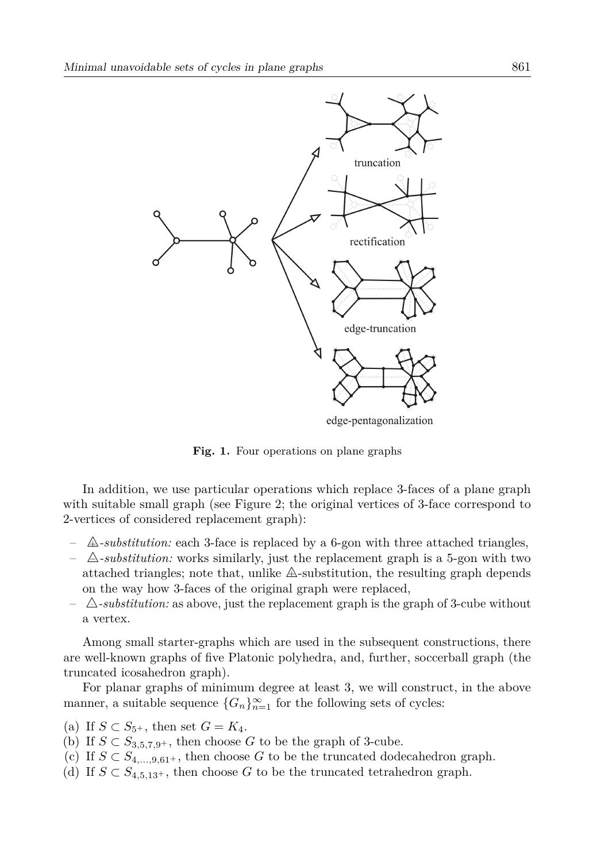

edge-pentagonalization

Fig. 1. Four operations on plane graphs

In addition, we use particular operations which replace 3-faces of a plane graph with suitable small graph (see Figure 2; the original vertices of 3-face correspond to 2-vertices of considered replacement graph):

- $\triangle$ -substitution: each 3-face is replaced by a 6-gon with three attached triangles,
- $\Delta$ -substitution: works similarly, just the replacement graph is a 5-gon with two attached triangles; note that, unlike  $\mathbb{A}$ -substitution, the resulting graph depends on the way how 3-faces of the original graph were replaced.
- $\triangle$ -substitution: as above, just the replacement graph is the graph of 3-cube without a vertex.

Among small starter-graphs which are used in the subsequent constructions, there are well-known graphs of five Platonic polyhedra, and, further, soccerball graph (the truncated icosahedron graph).

For planar graphs of minimum degree at least 3, we will construct, in the above manner, a suitable sequence  $\{G_n\}_{n=1}^{\infty}$  for the following sets of cycles:

- (a) If  $S \subset S_{5^+}$ , then set  $G = K_4$ .
- (b) If  $S \subset S_{3,5,7,9^+}$ , then choose G to be the graph of 3-cube.
- (c) If  $S \text{ }\subset S_{4,...,9,61^{+}}$ , then choose G to be the truncated dodecahedron graph.
- (d) If  $S \subset S_{4,5,13+}$ , then choose G to be the truncated tetrahedron graph.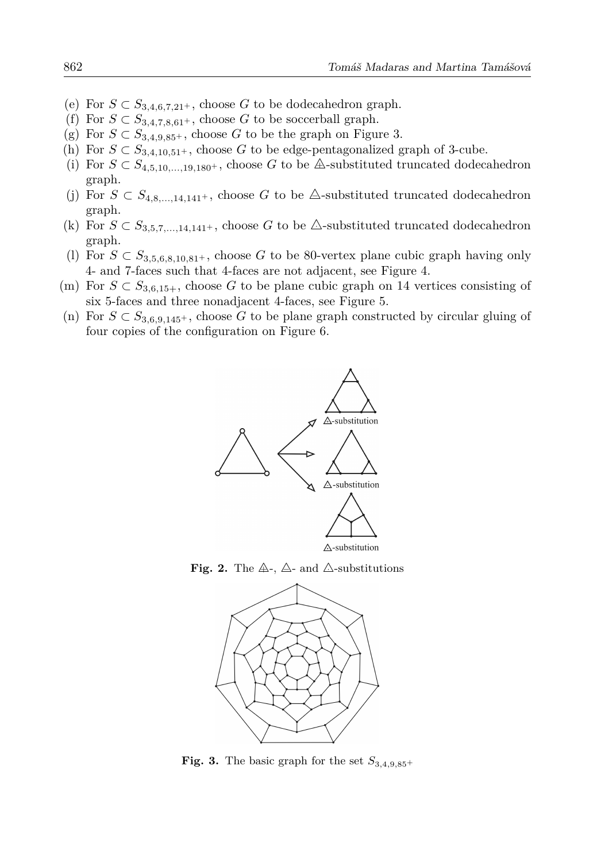- (e) For  $S \subset S_{3,4,6,7,21^+}$ , choose G to be dodecahedron graph.
- (f) For  $S \subset S_{3,4,7,8,61^+}$ , choose G to be soccerball graph.
- (g) For  $S \subset S_{3,4,9,85^+}$ , choose G to be the graph on Figure 3.
- (h) For  $S \text{ }\subset S_{3,4,10,51^+}$ , choose G to be edge-pentagonalized graph of 3-cube.
- (i) For  $S \text{ }\subset S_{4.5,10,...19.180^+}$ , choose G to be  $\triangle$ -substituted truncated dodecahedron graph.
- (j) For  $S \text{ }\subset S_{4,8,...14,141+}$ , choose G to be  $\triangle$ -substituted truncated dodecahedron graph.
- (k) For  $S \text{ }\subset S_{3.5.7,...,14.141+}$ , choose G to be  $\triangle$ -substituted truncated dodecahedron graph.
- (1) For  $S \text{ }\subset S_{3.5.6.8.10.81}$ , choose G to be 80-vertex plane cubic graph having only 4- and 7-faces such that 4-faces are not adjacent, see Figure 4.
- (m) For  $S \n\subset S_{3.6,15+}$ , choose G to be plane cubic graph on 14 vertices consisting of six 5-faces and three nonadjacent 4-faces, see Figure 5.
- (n) For  $S \text{ }\subset S_{3,6,9,145^+}$ , choose G to be plane graph constructed by circular gluing of four copies of the configuration on Figure 6.







Fig. 3. The basic graph for the set  $S_{3,4,9,85}$ +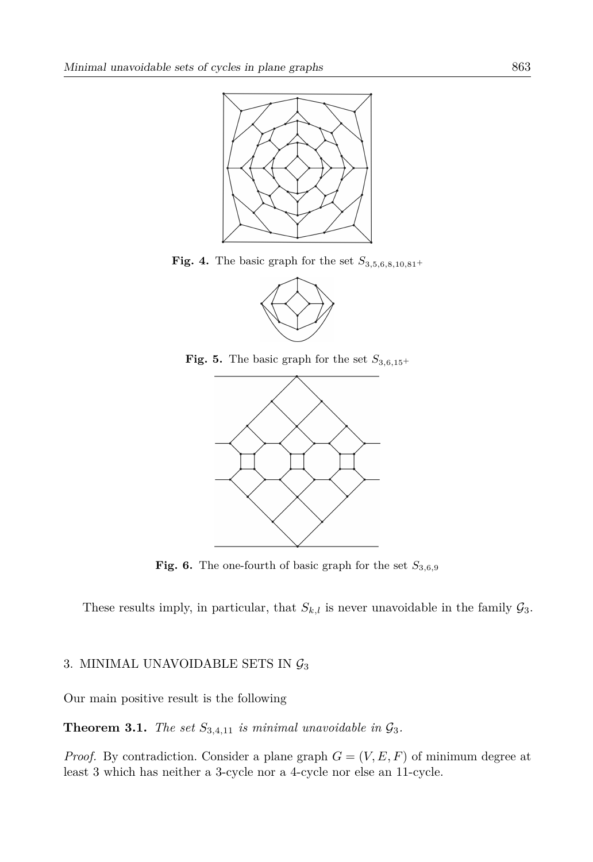

Fig. 4. The basic graph for the set  $S_{3,5,6,8,10,81}$ +



Fig. 5. The basic graph for the set  $S_{3,6,15}$ +



Fig. 6. The one-fourth of basic graph for the set  $S_{3,6,9}$ 

These results imply, in particular, that  $S_{k,l}$  is never unavoidable in the family  $\mathcal{G}_3$ .

#### 3. MINIMAL UNAVOIDABLE SETS IN  $\mathcal{G}_3$

Our main positive result is the following

**Theorem 3.1.** The set  $S_{3,4,11}$  is minimal unavoidable in  $\mathcal{G}_3$ .

*Proof.* By contradiction. Consider a plane graph  $G = (V, E, F)$  of minimum degree at least 3 which has neither a 3-cycle nor a 4-cycle nor else an 11-cycle.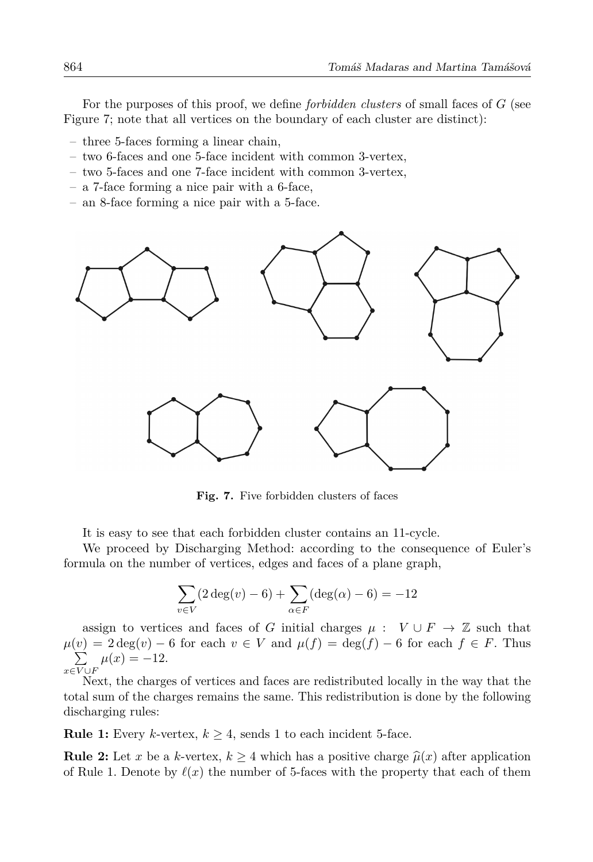For the purposes of this proof, we define *forbidden clusters* of small faces of  $G$  (see Figure 7; note that all vertices on the boundary of each cluster are distinct):

- $-$  three 5-faces forming a linear chain,
- $-$  two 6-faces and one 5-face incident with common 3-vertex.
- $-$  two 5-faces and one 7-face incident with common 3-vertex.
- $-$  a 7-face forming a nice pair with a 6-face,
- $-$  an 8-face forming a nice pair with a 5-face.



Fig. 7. Five forbidden clusters of faces

It is easy to see that each forbidden cluster contains an 11-cycle.

We proceed by Discharging Method: according to the consequence of Euler's formula on the number of vertices, edges and faces of a plane graph,

$$
\sum_{v \in V} (2 \deg(v) - 6) + \sum_{\alpha \in F} (\deg(\alpha) - 6) = -12
$$

assign to vertices and faces of G initial charges  $\mu : V \cup F \to \mathbb{Z}$  such that  $\mu(v) = 2 \deg(v) - 6$  for each  $v \in V$  and  $\mu(f) = \deg(f) - 6$  for each  $f \in F$ . Thus  $\sum_{x \in V \cup F} \mu(x) = -12.$ 

Next, the charges of vertices and faces are redistributed locally in the way that the total sum of the charges remains the same. This redistribution is done by the following discharging rules:

**Rule 1:** Every k-vertex,  $k \geq 4$ , sends 1 to each incident 5-face.

**Rule 2:** Let x be a k-vertex,  $k \geq 4$  which has a positive charge  $\hat{\mu}(x)$  after application of Rule 1. Denote by  $\ell(x)$  the number of 5-faces with the property that each of them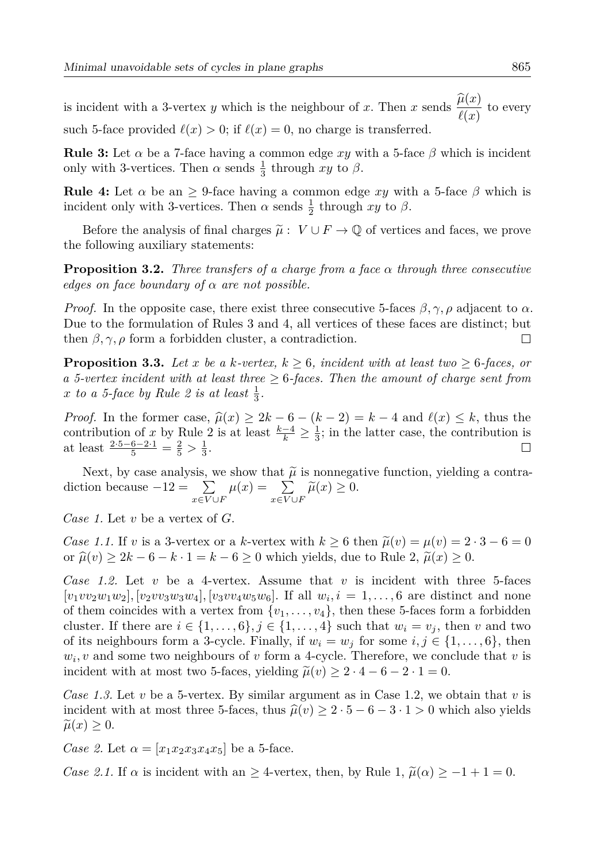is incident with a 3-vertex y which is the neighbour of x. Then x sends  $\frac{\hat{\mu}(x)}{\hat{\mu}(x)}$  to every such 5-face provided  $\ell(x) > 0$ ; if  $\ell(x) = 0$ , no charge is transferred.

**Rule 3:** Let  $\alpha$  be a 7-face having a common edge xy with a 5-face  $\beta$  which is incident only with 3-vertices. Then  $\alpha$  sends  $\frac{1}{3}$  through xy to  $\beta$ .

**Rule 4:** Let  $\alpha$  be an  $\geq$  9-face having a common edge xy with a 5-face  $\beta$  which is incident only with 3-vertices. Then  $\alpha$  sends  $\frac{1}{2}$  through xy to  $\beta$ .

Before the analysis of final charges  $\tilde{\mu}: V \cup F \to \mathbb{Q}$  of vertices and faces, we prove the following auxiliary statements:

**Proposition 3.2.** Three transfers of a charge from a face  $\alpha$  through three consecutive edges on face boundary of  $\alpha$  are not possible.

*Proof.* In the opposite case, there exist three consecutive 5-faces  $\beta, \gamma, \rho$  adjacent to  $\alpha$ . Due to the formulation of Rules 3 and 4, all vertices of these faces are distinct; but then  $\beta, \gamma, \rho$  form a forbidden cluster, a contradiction.  $\Box$ 

**Proposition 3.3.** Let x be a k-vertex,  $k > 6$ , incident with at least two  $> 6$ -faces, or a 5-vertex incident with at least three  $\geq$  6-faces. Then the amount of charge sent from x to a 5-face by Rule 2 is at least  $\frac{1}{3}$ .

*Proof.* In the former case,  $\hat{\mu}(x) \ge 2k - 6 - (k - 2) = k - 4$  and  $\ell(x) \le k$ , thus the contribution of x by Rule 2 is at least  $\frac{k-4}{k} \geq \frac{1}{3}$ ; in the latter case, the contribution is at least  $\frac{2 \cdot 5 - 6 - 2 \cdot 1}{5} = \frac{2}{5} > \frac{1}{3}$ .

Next, by case analysis, we show that  $\tilde{\mu}$  is nonnegative function, yielding a contradiction because  $-12 = \sum_{x \in V \cup F} \mu(x) = \sum_{x \in V \cup F} \tilde{\mu}(x) \ge 0$ .

Case 1. Let v be a vertex of  $G$ .

Case 1.1. If v is a 3-vertex or a k-vertex with  $k \ge 6$  then  $\tilde{\mu}(v) = \mu(v) = 2 \cdot 3 - 6 = 0$ or  $\widehat{\mu}(v) \ge 2k - 6 - k \cdot 1 = k - 6 \ge 0$  which yields, due to Rule 2,  $\widetilde{\mu}(x) \ge 0$ .

Case 1.2. Let v be a 4-vertex. Assume that v is incident with three 5-faces  $[v_1vv_2w_1w_2]$ ,  $[v_2vv_3w_3w_4]$ ,  $[v_3vv_4w_5w_6]$ . If all  $w_i, i = 1,...,6$  are distinct and none of them coincides with a vertex from  $\{v_1, \ldots, v_4\}$ , then these 5-faces form a forbidden cluster. If there are  $i \in \{1, ..., 6\}, j \in \{1, ..., 4\}$  such that  $w_i = v_j$ , then v and two of its neighbours form a 3-cycle. Finally, if  $w_i = w_j$  for some  $i, j \in \{1, ..., 6\}$ , then  $w_i$ , v and some two neighbours of v form a 4-cycle. Therefore, we conclude that v is incident with at most two 5-faces, yielding  $\tilde{\mu}(v) \ge 2 \cdot 4 - 6 - 2 \cdot 1 = 0$ .

Case 1.3. Let v be a 5-vertex. By similar argument as in Case 1.2, we obtain that v is incident with at most three 5-faces, thus  $\hat{\mu}(v) \ge 2 \cdot 5 - 6 - 3 \cdot 1 > 0$  which also yields  $\widetilde{\mu}(x) \geq 0.$ 

Case 2. Let  $\alpha = [x_1x_2x_3x_4x_5]$  be a 5-face.

Case 2.1. If  $\alpha$  is incident with an  $\geq$  4-vertex, then, by Rule 1,  $\tilde{\mu}(\alpha) \geq -1+1=0$ .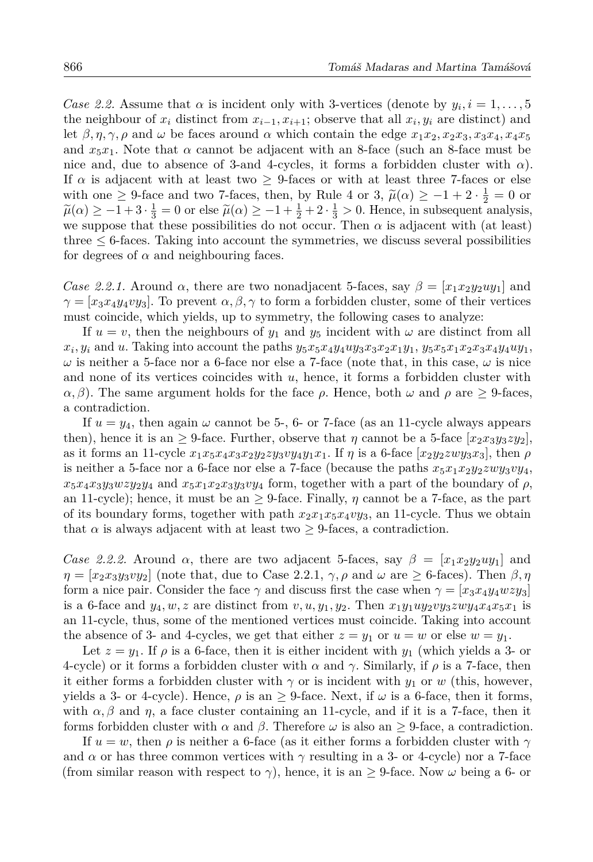Case 2.2. Assume that  $\alpha$  is incident only with 3-vertices (denote by  $y_i, i = 1, \ldots, 5$ ) the neighbour of  $x_i$  distinct from  $x_{i-1}, x_{i+1}$ ; observe that all  $x_i, y_i$  are distinct) and let  $\beta, \eta, \gamma, \rho$  and  $\omega$  be faces around  $\alpha$  which contain the edge  $x_1x_2, x_2x_3, x_3x_4, x_4x_5$ and  $x_5x_1$ . Note that  $\alpha$  cannot be adjacent with an 8-face (such an 8-face must be nice and, due to absence of 3-and 4-cycles, it forms a forbidden cluster with  $\alpha$ ). If  $\alpha$  is adjacent with at least two  $\geq$  9-faces or with at least three 7-faces or else with one  $\geq$  9-face and two 7-faces, then, by Rule 4 or 3,  $\tilde{\mu}(\alpha) \geq -1 + 2 \cdot \frac{1}{2} = 0$  or  $\tilde{\mu}(\alpha) \geq -1+3\cdot\frac{1}{3} = 0$  or else  $\tilde{\mu}(\alpha) \geq -1+\frac{1}{2}+2\cdot\frac{1}{3} > 0$ . Hence, in subsequent analysis, we suppose that these possibilities do not occur. Then  $\alpha$  is adjacent with (at least) three  $\leq$  6-faces. Taking into account the symmetries, we discuss several possibilities for degrees of  $\alpha$  and neighbouring faces.

Case 2.2.1. Around  $\alpha$ , there are two nonadjacent 5-faces, say  $\beta = [x_1 x_2 y_2 u y_1]$  and  $\gamma = [x_3x_4y_4vy_3]$ . To prevent  $\alpha, \beta, \gamma$  to form a forbidden cluster, some of their vertices must coincide, which yields, up to symmetry, the following cases to analyze:

If  $u = v$ , then the neighbours of  $y_1$  and  $y_5$  incident with  $\omega$  are distinct from all  $x_i, y_i$  and u. Taking into account the paths  $y_5x_5x_4y_4uy_3x_3x_2x_1y_1$ ,  $y_5x_5x_1x_2x_3x_4y_4uy_1$ ,  $\omega$  is neither a 5-face nor a 6-face nor else a 7-face (note that, in this case,  $\omega$  is nice and none of its vertices coincides with  $u$ , hence, it forms a forbidden cluster with  $\alpha$ ,  $\beta$ ). The same argument holds for the face  $\rho$ . Hence, both  $\omega$  and  $\rho$  are  $> 9$ -faces, a contradiction.

If  $u = y_4$ , then again  $\omega$  cannot be 5-, 6- or 7-face (as an 11-cycle always appears then), hence it is an  $\geq$  9-face. Further, observe that  $\eta$  cannot be a 5-face  $[x_2x_3y_3z y_2]$ , as it forms an 11-cycle  $x_1x_5x_4x_3x_2y_2zy_3xy_4y_1x_1$ . If  $\eta$  is a 6-face  $[x_2y_2zwy_3x_3]$ , then  $\rho$ is neither a 5-face nor a 6-face nor else a 7-face (because the paths  $x_5x_1x_2y_2zwy_3vy_4$ ,  $x_5x_4x_3y_3wzy_2y_4$  and  $x_5x_1x_2x_3y_3y_4$  form, together with a part of the boundary of  $\rho$ , an 11-cycle); hence, it must be an  $\geq$  9-face. Finally,  $\eta$  cannot be a 7-face, as the part of its boundary forms, together with path  $x_2x_1x_5x_4xy_3$ , an 11-cycle. Thus we obtain that  $\alpha$  is always adjacent with at least two  $\geq$  9-faces, a contradiction.

Case 2.2.2. Around  $\alpha$ , there are two adjacent 5-faces, say  $\beta = [x_1 x_2 y_2 y_1]$  and  $\eta = [x_2 x_3 y_3 v y_2]$  (note that, due to Case 2.2.1,  $\gamma$ ,  $\rho$  and  $\omega$  are  $\geq$  6-faces). Then  $\beta$ ,  $\eta$ form a nice pair. Consider the face  $\gamma$  and discuss first the case when  $\gamma = [x_3 x_4 y_4 w z y_3]$ is a 6-face and  $y_4, w, z$  are distinct from  $v, u, y_1, y_2$ . Then  $x_1y_1uy_2vy_3zwy_4x_4x_5x_1$  is an 11-cycle, thus, some of the mentioned vertices must coincide. Taking into account the absence of 3- and 4-cycles, we get that either  $z = y_1$  or  $u = w$  or else  $w = y_1$ .

Let  $z = y_1$ . If  $\rho$  is a 6-face, then it is either incident with  $y_1$  (which yields a 3- or 4-cycle) or it forms a forbidden cluster with  $\alpha$  and  $\gamma$ . Similarly, if  $\rho$  is a 7-face, then it either forms a forbidden cluster with  $\gamma$  or is incident with  $y_1$  or w (this, however, yields a 3- or 4-cycle). Hence,  $\rho$  is an  $\geq$  9-face. Next, if  $\omega$  is a 6-face, then it forms, with  $\alpha, \beta$  and  $\eta$ , a face cluster containing an 11-cycle, and if it is a 7-face, then it forms forbidden cluster with  $\alpha$  and  $\beta$ . Therefore  $\omega$  is also an  $\geq$  9-face, a contradiction.

If  $u = w$ , then  $\rho$  is neither a 6-face (as it either forms a forbidden cluster with  $\gamma$ and  $\alpha$  or has three common vertices with  $\gamma$  resulting in a 3- or 4-cycle) nor a 7-face (from similar reason with respect to  $\gamma$ ), hence, it is an  $\geq$  9-face. Now  $\omega$  being a 6- or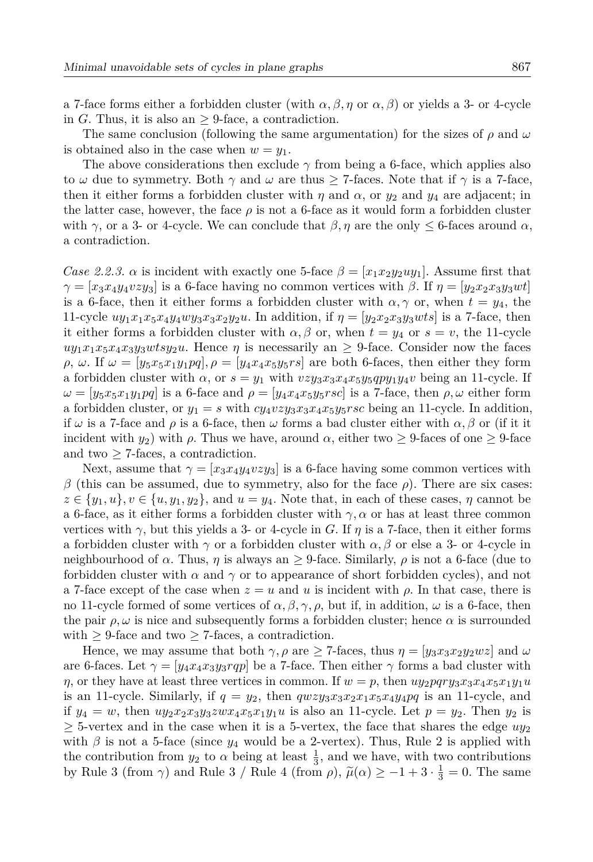a 7-face forms either a forbidden cluster (with  $\alpha, \beta, \eta$  or  $\alpha, \beta$ ) or yields a 3- or 4-cycle in G. Thus, it is also an  $> 9$ -face, a contradiction.

The same conclusion (following the same argumentation) for the sizes of  $\rho$  and  $\omega$ is obtained also in the case when  $w = y_1$ .

The above considerations then exclude  $\gamma$  from being a 6-face, which applies also to  $\omega$  due to symmetry. Both  $\gamma$  and  $\omega$  are thus  $\geq$  7-faces. Note that if  $\gamma$  is a 7-face, then it either forms a forbidden cluster with  $\eta$  and  $\alpha$ , or  $y_2$  and  $y_4$  are adjacent; in the latter case, however, the face  $\rho$  is not a 6-face as it would form a forbidden cluster with  $\gamma$ , or a 3- or 4-cycle. We can conclude that  $\beta$ ,  $\eta$  are the only  $\leq$  6-faces around  $\alpha$ , a contradiction.

Case 2.2.3.  $\alpha$  is incident with exactly one 5-face  $\beta = [x_1 x_2 y_2 u y_1]$ . Assume first that  $\gamma = [x_3x_4y_4vzy_3]$  is a 6-face having no common vertices with  $\beta$ . If  $\eta = [y_2x_2x_3y_3wt]$ is a 6-face, then it either forms a forbidden cluster with  $\alpha, \gamma$  or, when  $t = y_4$ , the 11-cycle  $uy_1x_1x_5x_4y_4wy_3x_3x_2y_2u$ . In addition, if  $\eta = [y_2x_2x_3y_3wts]$  is a 7-face, then it either forms a forbidden cluster with  $\alpha, \beta$  or, when  $t = y_4$  or  $s = v$ , the 11-cycle  $uy_1x_1x_5x_4x_3y_3wtsy_2u$ . Hence  $\eta$  is necessarily an  $\geq$  9-face. Consider now the faces  $\rho$ ,  $\omega$ . If  $\omega = [y_5x_5x_1y_1pq], \rho = [y_4x_4x_5y_5rs]$  are both 6-faces, then either they form a forbidden cluster with  $\alpha$ , or  $s = y_1$  with  $vzy_3x_3x_4x_5y_5qpy_1y_4v$  being an 11-cycle. If  $\omega = [y_5x_5x_1y_1pq]$  is a 6-face and  $\rho = [y_4x_4x_5y_5rsc]$  is a 7-face, then  $\rho, \omega$  either form a forbidden cluster, or  $y_1 = s$  with  $cy_4vzy_3x_3x_4x_5y_5rsc$  being an 11-cycle. In addition, if  $\omega$  is a 7-face and  $\rho$  is a 6-face, then  $\omega$  forms a bad cluster either with  $\alpha$ ,  $\beta$  or (if it it incident with  $y_2$ ) with  $\rho$ . Thus we have, around  $\alpha$ , either two  $\geq$  9-faces of one  $\geq$  9-face and two  $\geq$  7-faces, a contradiction.

Next, assume that  $\gamma = [x_3 x_4 y_4 v z y_3]$  is a 6-face having some common vertices with  $\beta$  (this can be assumed, due to symmetry, also for the face  $\rho$ ). There are six cases:  $z \in \{y_1, u\}, v \in \{u, y_1, y_2\}, \text{ and } u = y_4.$  Note that, in each of these cases,  $\eta$  cannot be a 6-face, as it either forms a forbidden cluster with  $\gamma$ ,  $\alpha$  or has at least three common vertices with  $\gamma$ , but this yields a 3- or 4-cycle in G. If  $\eta$  is a 7-face, then it either forms a forbidden cluster with  $\gamma$  or a forbidden cluster with  $\alpha, \beta$  or else a 3- or 4-cycle in neighbourhood of  $\alpha$ . Thus,  $\eta$  is always an  $\geq$  9-face. Similarly,  $\rho$  is not a 6-face (due to forbidden cluster with  $\alpha$  and  $\gamma$  or to appearance of short forbidden cycles), and not a 7-face except of the case when  $z = u$  and u is incident with  $\rho$ . In that case, there is no 11-cycle formed of some vertices of  $\alpha, \beta, \gamma, \rho$ , but if, in addition,  $\omega$  is a 6-face, then the pair  $\rho, \omega$  is nice and subsequently forms a forbidden cluster; hence  $\alpha$  is surrounded with  $\geq$  9-face and two  $\geq$  7-faces, a contradiction.

Hence, we may assume that both  $\gamma$ ,  $\rho$  are  $\geq$  7-faces, thus  $\eta = [y_3 x_3 x_2 y_2 w z]$  and  $\omega$ are 6-faces. Let  $\gamma = |y_4 x_4 x_3 y_3 r q p|$  be a 7-face. Then either  $\gamma$  forms a bad cluster with  $\eta$ , or they have at least three vertices in common. If  $w = p$ , then  $uy_2pqry_3x_3x_4x_5x_1y_1u$ is an 11-cycle. Similarly, if  $q = y_2$ , then  $qwzy_3x_3x_2x_1x_5x_4y_4pq$  is an 11-cycle, and if  $y_4 = w$ , then  $uy_2x_2x_3y_3zwx_4x_5x_1y_1u$  is also an 11-cycle. Let  $p = y_2$ . Then  $y_2$  is  $\geq$  5-vertex and in the case when it is a 5-vertex, the face that shares the edge  $uy_2$ with  $\beta$  is not a 5-face (since  $y_4$  would be a 2-vertex). Thus, Rule 2 is applied with the contribution from  $y_2$  to  $\alpha$  being at least  $\frac{1}{3}$ , and we have, with two contributions by Rule 3 (from  $\gamma$ ) and Rule 3 / Rule 4 (from  $\rho$ ),  $\tilde{\mu}(\alpha) \ge -1+3 \cdot \frac{1}{3} = 0$ . The same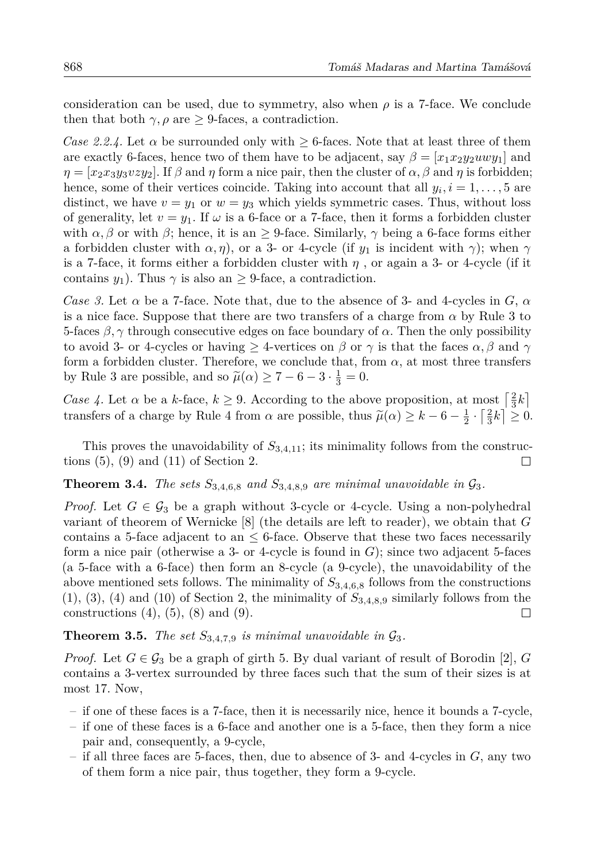consideration can be used, due to symmetry, also when  $\rho$  is a 7-face. We conclude then that both  $\gamma$ ,  $\rho$  are  $\geq$  9-faces, a contradiction.

Case 2.2.4. Let  $\alpha$  be surrounded only with  $\geq 6$ -faces. Note that at least three of them are exactly 6-faces, hence two of them have to be adjacent, say  $\beta = [x_1 x_2 y_2 u w y_1]$  and  $\eta = [x_2 x_3 y_3 v_2 y_2]$ . If  $\beta$  and  $\eta$  form a nice pair, then the cluster of  $\alpha, \beta$  and  $\eta$  is forbidden; hence, some of their vertices coincide. Taking into account that all  $y_i$ ,  $i = 1, \ldots, 5$  are distinct, we have  $v = y_1$  or  $w = y_3$  which yields symmetric cases. Thus, without loss of generality, let  $v = y_1$ . If  $\omega$  is a 6-face or a 7-face, then it forms a forbidden cluster with  $\alpha, \beta$  or with  $\beta$ ; hence, it is an  $\geq$  9-face. Similarly,  $\gamma$  being a 6-face forms either a forbidden cluster with  $\alpha$ ,  $\eta$ ), or a 3- or 4-cycle (if  $y_1$  is incident with  $\gamma$ ); when  $\gamma$ is a 7-face, it forms either a forbidden cluster with  $\eta$ , or again a 3- or 4-cycle (if it contains  $y_1$ ). Thus  $\gamma$  is also an  $> 9$ -face, a contradiction.

Case 3. Let  $\alpha$  be a 7-face. Note that, due to the absence of 3- and 4-cycles in G,  $\alpha$ is a nice face. Suppose that there are two transfers of a charge from  $\alpha$  by Rule 3 to 5-faces  $\beta$ ,  $\gamma$  through consecutive edges on face boundary of  $\alpha$ . Then the only possibility to avoid 3- or 4-cycles or having  $>$  4-vertices on  $\beta$  or  $\gamma$  is that the faces  $\alpha$ ,  $\beta$  and  $\gamma$ form a forbidden cluster. Therefore, we conclude that, from  $\alpha$ , at most three transfers by Rule 3 are possible, and so  $\tilde{\mu}(\alpha) \geq 7-6-3 \cdot \frac{1}{3} = 0$ .

Case 4. Let  $\alpha$  be a k-face,  $k \geq 9$ . According to the above proposition, at most  $\left[\frac{2}{3}k\right]$ transfers of a charge by Rule 4 from  $\alpha$  are possible, thus  $\tilde{\mu}(\alpha) \geq k - 6 - \frac{1}{2} \cdot \left[\frac{2}{3}k\right] \geq 0$ .

This proves the unavoidability of  $S_{3,4,11}$ ; its minimality follows from the constructions  $(5)$ ,  $(9)$  and  $(11)$  of Section 2.  $\Box$ 

#### **Theorem 3.4.** The sets  $S_{3,4,6,8}$  and  $S_{3,4,8,9}$  are minimal unavoidable in  $\mathcal{G}_3$ .

*Proof.* Let  $G \in \mathcal{G}_3$  be a graph without 3-cycle or 4-cycle. Using a non-polyhedral variant of theorem of Wernicke  $[8]$  (the details are left to reader), we obtain that G contains a 5-face adjacent to an  $\leq$  6-face. Observe that these two faces necessarily form a nice pair (otherwise a 3- or 4-cycle is found in  $G$ ); since two adjacent 5-faces (a 5-face with a 6-face) then form an 8-cycle (a 9-cycle), the unavoidability of the above mentioned sets follows. The minimality of  $S_{3,4,6,8}$  follows from the constructions  $(1), (3), (4)$  and  $(10)$  of Section 2, the minimality of  $S_{3,4,8,9}$  similarly follows from the constructions  $(4)$ ,  $(5)$ ,  $(8)$  and  $(9)$ .  $\Box$ 

### **Theorem 3.5.** The set  $S_{3,4,7,9}$  is minimal unavoidable in  $\mathcal{G}_3$ .

*Proof.* Let  $G \in \mathcal{G}_3$  be a graph of girth 5. By dual variant of result of Borodin [2], G contains a 3-vertex surrounded by three faces such that the sum of their sizes is at most 17. Now,

- if one of these faces is a 7-face, then it is necessarily nice, hence it bounds a 7-cycle,
- if one of these faces is a 6-face and another one is a 5-face, then they form a nice pair and, consequently, a 9-cycle,
- if all three faces are 5-faces, then, due to absence of 3- and 4-cycles in  $G$ , any two of them form a nice pair, thus together, they form a 9-cycle.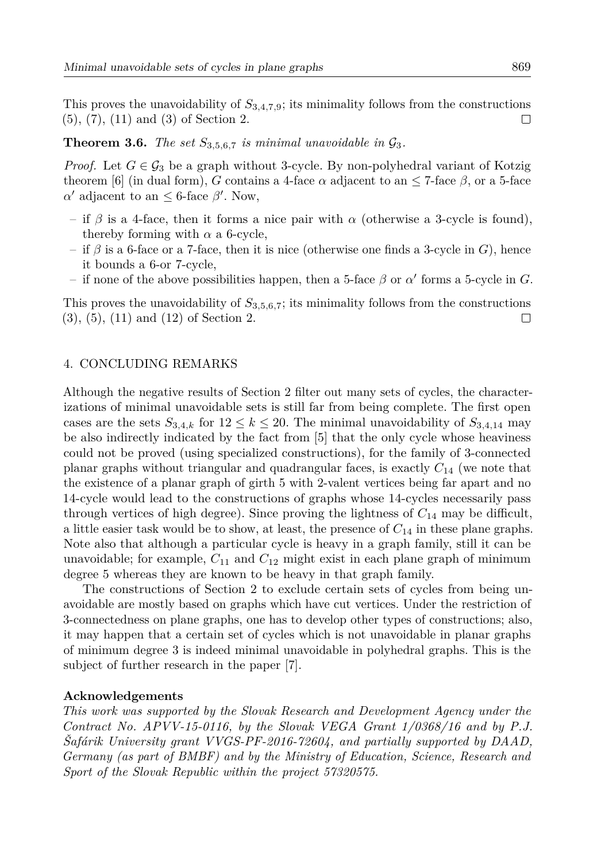This proves the unavoidability of  $S_{3,4,7,9}$ ; its minimality follows from the constructions  $(5), (7), (11)$  and  $(3)$  of Section 2.  $\Box$ 

**Theorem 3.6.** The set  $S_{3.5.6.7}$  is minimal unavoidable in  $\mathcal{G}_3$ .

*Proof.* Let  $G \in \mathcal{G}_3$  be a graph without 3-cycle. By non-polyhedral variant of Kotzig theorem [6] (in dual form), G contains a 4-face  $\alpha$  adjacent to an  $\leq$  7-face  $\beta$ , or a 5-face  $\alpha'$  adjacent to an  $\leq$  6-face  $\beta'$ . Now,

- if  $\beta$  is a 4-face, then it forms a nice pair with  $\alpha$  (otherwise a 3-cycle is found). thereby forming with  $\alpha$  a 6-cycle,
- if  $\beta$  is a 6-face or a 7-face, then it is nice (otherwise one finds a 3-cycle in G), hence it bounds a 6-or 7-cycle.
- if none of the above possibilities happen, then a 5-face  $\beta$  or  $\alpha'$  forms a 5-cycle in G.

This proves the unavoidability of  $S_{3,5,6,7}$ ; its minimality follows from the constructions  $(3), (5), (11)$  and  $(12)$  of Section 2.  $\Box$ 

#### 4. CONCLUDING REMARKS

Although the negative results of Section 2 filter out many sets of cycles, the characterizations of minimal unavoidable sets is still far from being complete. The first open cases are the sets  $S_{3,4,k}$  for  $12 \leq k \leq 20$ . The minimal unavoidability of  $S_{3,4,14}$  may be also indirectly indicated by the fact from [5] that the only cycle whose heaviness could not be proved (using specialized constructions), for the family of 3-connected planar graphs without triangular and quadrangular faces, is exactly  $C_{14}$  (we note that the existence of a planar graph of girth 5 with 2-valent vertices being far apart and no 14-cycle would lead to the constructions of graphs whose 14-cycles necessarily pass through vertices of high degree). Since proving the lightness of  $C_{14}$  may be difficult, a little easier task would be to show, at least, the presence of  $C_{14}$  in these plane graphs. Note also that although a particular cycle is heavy in a graph family, still it can be unavoidable; for example,  $C_{11}$  and  $C_{12}$  might exist in each plane graph of minimum degree 5 whereas they are known to be heavy in that graph family.

The constructions of Section 2 to exclude certain sets of cycles from being unavoidable are mostly based on graphs which have cut vertices. Under the restriction of 3-connectedness on plane graphs, one has to develop other types of constructions; also, it may happen that a certain set of cycles which is not unavoidable in planar graphs of minimum degree 3 is indeed minimal unavoidable in polyhedral graphs. This is the subject of further research in the paper [7].

#### Acknowledgements

This work was supported by the Slovak Research and Development Agency under the Contract No.  $APVV-15-0116$ , by the Slovak VEGA Grant  $1/0368/16$  and by P.J. Safárik University grant VVGS-PF-2016-72604, and partially supported by DAAD, Germany (as part of BMBF) and by the Ministry of Education, Science, Research and Sport of the Slovak Republic within the project 57320575.